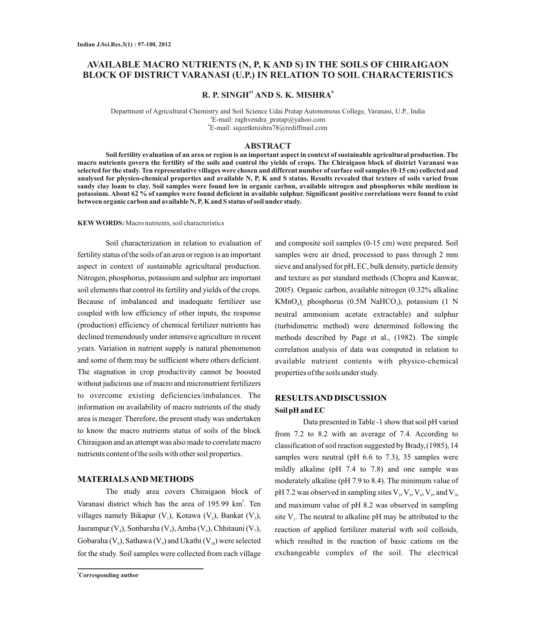# **AVAILABLE MACRO NUTRIENTS (N, P, K AND S) IN THE SOILS OF CHIRAIGAON BLOCK OF DISTRICT VARANASI (U.P.) IN RELATION TO SOIL CHARACTERISTICS**

# **a1 <sup>b</sup> R. P. SINGH AND S. K. MISHRA**

Department of Agricultural Chemistry and Soil Science Udai Pratap Autonomous College, Varanasi, U.P., India a E-mail: raghvendra\_pratap@yahoo.com b E-mail: sujeetkmishra78@rediffmail.com

## **ABSTRACT**

**Soil fertility evaluation of an area or region is an important aspect in context of sustainable agricultural production. The macro nutrients govern the fertility of the soils and control the yields of crops. The Chiraigaon block of district Varanasi was selected for the study. Ten representative villages were chosen and different number of surface soil samples (0-15 cm) collected and analysed for physico-chemical properties and available N, P, K and S status. Results revealed that texture of soils varied from sandy clay loam to clay. Soil samples were found low in organic carbon, available nitrogen and phosphorus while medium in potassium. About 62 % of samples were found deficient in available sulphur. Significant positive correlations were found to exist between organic carbon and available N, P, K and S status of soil under study.**

**KEWWORDS:** Macro nutrients, soil characteristics

Soil characterization in relation to evaluation of fertility status of the soils of an area or region is an important aspect in context of sustainable agricultural production. Nitrogen, phosphorus, potassium and sulphur are important soil elements that control its fertility and yields of the crops. Because of imbalanced and inadequate fertilizer use coupled with low efficiency of other inputs, the response (production) efficiency of chemical fertilizer nutrients has declined tremendously under intensive agriculture in recent years. Variation in nutrient supply is natural phenomenon and some of them may be sufficient where others deficient. The stagnation in crop productivity cannot be boosted without judicious use of macro and micronutrient fertilizers to overcome existing deficiencies/imbalances. The information on availability of macro nutrients of the study area is meager. Therefore, the present study was undertaken to know the macro nutrients status of soils of the block Chiraigaon and an attempt was also made to correlate macro nutrients content of the soils with other soil properties.

## **MATERIALS AND METHODS**

The study area covers Chiraigaon block of Varanasi district which has the area of 195.99 km<sup>2</sup>. Ten villages namely Bikapur  $(V_1)$ , Kotawa  $(V_2)$ , Bankat  $(V_3)$ , Jasrampur (V<sub>4</sub>), Sonbarsha (V<sub>5</sub>), Amba (V<sub>6</sub>), Chhitauni (V<sub>7</sub>), Gobaraha (V $_{\circ}$ ), Sathawa (V $_{\circ}$ ) and Ukathi (V $_{\circ}$ ) were selected for the study. Soil samples were collected from each village

and composite soil samples (0-15 cm) were prepared. Soil samples were air dried, processed to pass through 2 mm sieve and analysed for pH, EC, bulk density, particle density and texture as per standard methods (Chopra and Kanwar, 2005). Organic carbon, available nitrogen (0.32% alkaline  $KMnO<sub>a</sub>$ ), phosphorus (0.5M NaHCO<sub>3</sub>), potassium (1 N neutral ammonium acetate extractable) and sulphur (turbidimetric method) were determined following the methods described by Page et al., (1982). The simple correlation analysis of data was computed in relation to available nutrient contents with physico-chemical properties of the soils under study.

# **RESULTS AND DISCUSSION Soil pH and EC**

Data presented in Table -1 show that soil pH varied from 7.2 to 8.2 with an average of 7.4. According to classification of soil reaction suggested by Brady,(1985), 14 samples were neutral (pH 6.6 to 7.3), 35 samples were mildly alkaline (pH 7.4 to 7.8) and one sample was moderately alkaline (pH 7.9 to 8.4). The minimum value of pH 7.2 was observed in sampling sites  $V_3$ ,  $V_5$ ,  $V_6$ ,  $V_8$ , and  $V_{10}$ and maximum value of pH 8.2 was observed in sampling site  $V<sub>1</sub>$ . The neutral to alkaline pH may be attributed to the reaction of applied fertilizer material with soil colloids, which resulted in the reaction of basic cations on the exchangeable complex of the soil. The electrical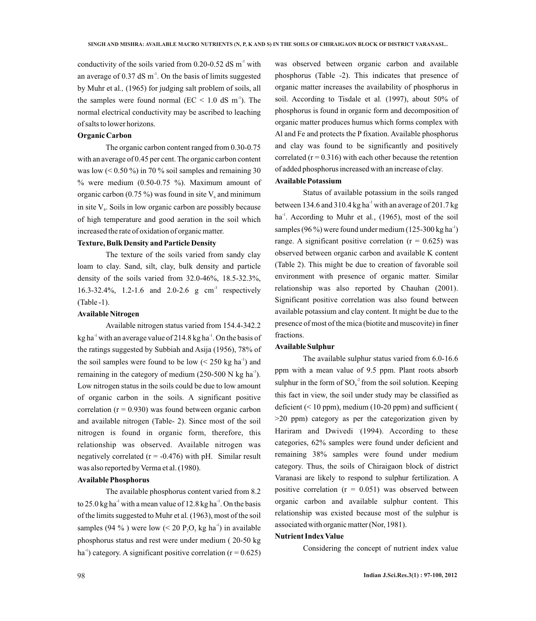conductivity of the soils varied from  $0.20$ - $0.52$  dS m<sup>-1</sup> with an average of  $0.37$  dS m<sup>-1</sup>. On the basis of limits suggested by Muhr et al*.,* (1965) for judging salt problem of soils, all the samples were found normal ( $EC < 1.0$  dS m<sup>-1</sup>). The normal electrical conductivity may be ascribed to leaching of salts to lower horizons.

### **Organic Carbon**

The organic carbon content ranged from 0.30-0.75 with an average of 0.45 per cent. The organic carbon content was low  $(< 0.50\%$ ) in 70 % soil samples and remaining 30  $%$  were medium (0.50-0.75 %). Maximum amount of organic carbon (0.75 %) was found in site  $V_6$  and minimum in site  $V<sub>a</sub>$ . Soils in low organic carbon are possibly because of high temperature and good aeration in the soil which increased the rate of oxidation of organic matter.

# **Texture, Bulk Density and Particle Density**

The texture of the soils varied from sandy clay loam to clay. Sand, silt, clay, bulk density and particle density of the soils varied from 32.0-46%, 18.5-32.3%, 16.3-32.4%, 1.2-1.6 and 2.0-2.6 g  $cm<sup>3</sup>$  respectively (Table -1).

#### **Available Nitrogen**

Available nitrogen status varied from 154.4-342.2  $kg$  ha<sup>-1</sup> with an average value of 214.8 kg ha<sup>-1</sup>. On the basis of the ratings suggested by Subbiah and Asija (1956), 78% of the soil samples were found to be low  $(< 250 \text{ kg ha}^{-1})$  and remaining in the category of medium (250-500 N kg ha<sup>-1</sup>). Low nitrogen status in the soils could be due to low amount of organic carbon in the soils. A significant positive correlation ( $r = 0.930$ ) was found between organic carbon and available nitrogen (Table- 2). Since most of the soil nitrogen is found in organic form, therefore, this relationship was observed. Available nitrogen was negatively correlated  $(r = -0.476)$  with pH. Similar result was also reported by Verma et al.(1980).

### **Available Phosphorus**

The available phosphorus content varied from 8.2 to 25.0 kg ha<sup>-1</sup> with a mean value of 12.8 kg ha<sup>-1</sup>. On the basis of the limits suggested to Muhr et al*.* (1963), most of the soil samples (94 %) were low (< 20 P, O, kg ha<sup>-1</sup>) in available phosphorus status and rest were under medium ( 20-50 kg ha<sup>-1</sup>) category. A significant positive correlation ( $r = 0.625$ )

was observed between organic carbon and available phosphorus (Table -2). This indicates that presence of organic matter increases the availability of phosphorus in soil. According to Tisdale et al*.* (1997), about 50% of phosphorus is found in organic form and decomposition of organic matter produces humus which forms complex with Al and Fe and protects the Pfixation. Available phosphorus and clay was found to be significantly and positively correlated  $(r = 0.316)$  with each other because the retention of added phosphorus increased with an increase of clay.

# **Available Potassium**

Status of available potassium in the soils ranged between 134.6 and 310.4 kg ha<sup>-1</sup> with an average of 201.7 kg ha<sup>-1</sup>. According to Muhr et al., (1965), most of the soil samples (96 %) were found under medium (125-300 kg ha<sup>-1</sup>) range. A significant positive correlation ( $r = 0.625$ ) was observed between organic carbon and available K content (Table 2). This might be due to creation of favorable soil environment with presence of organic matter. Similar relationship was also reported by Chauhan (2001). Significant positive correlation was also found between available potassium and clay content. It might be due to the presence of most of the mica (biotite and muscovite) in finer fractions.

### **Available Sulphur**

The available sulphur status varied from 6.0-16.6 ppm with a mean value of 9.5 ppm. Plant roots absorb sulphur in the form of  $SO_4^2$  from the soil solution. Keeping this fact in view, the soil under study may be classified as deficient  $(< 10$  ppm), medium (10-20 ppm) and sufficient ( >20 ppm) category as per the categorization given by Hariram and Dwivedi (1994). According to these categories, 62% samples were found under deficient and remaining 38% samples were found under medium category. Thus, the soils of Chiraigaon block of district Varanasi are likely to respond to sulphur fertilization. A positive correlation  $(r = 0.051)$  was observed between organic carbon and available sulphur content. This relationship was existed because most of the sulphur is associated with organic matter (Nor, 1981).

## **Nutrient Index Value**

Considering the concept of nutrient index value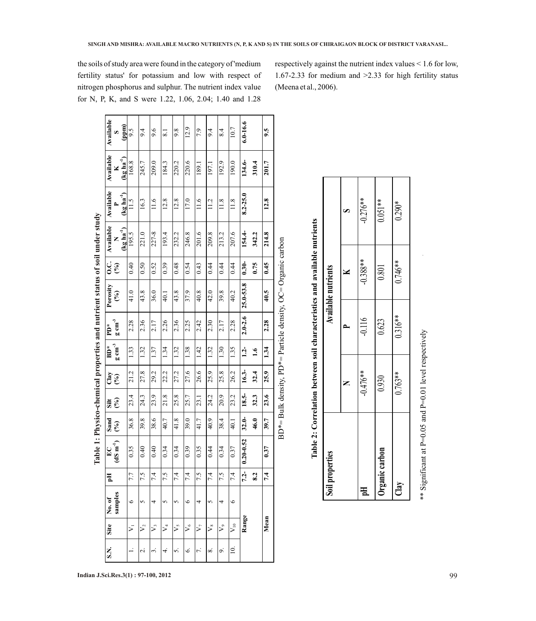| 6.0-16.6<br>(mdd)<br>12.9<br>10.7<br>9.5<br>9.4<br>9.6<br>9.8<br>$\frac{4}{8}$<br>9.5<br>7.9<br>9.4<br>$\overline{8.1}$<br>S<br>$(\underline{kg} \ln a^{-1})$<br>134.6-<br>220.6<br>192.9<br>168.8<br>245.7<br>209.0<br>184.3<br>220.2<br>190.0<br>310.4<br>201.7<br>189.1<br>197.1<br>×<br>$(\text{kg ha}^{-1})$<br>$8.2 - 25.0$<br>12.8<br>17.0<br>12.8<br>12.8<br>16.3<br>11.6<br>11.6<br>11.8<br>11.8<br>11.5<br>11.2<br>$\sim$<br>$(kg ha-1)$<br>154.4-<br>221.0<br>227-8<br>246.8<br>209.8<br>207.6<br>193.4<br>232.2<br>201.6<br>213.2<br>214.8<br>195.5<br>342.2<br>Z<br>$0.30 -$<br>0.75<br>0.45<br>0.40<br>0.50<br>0.52<br>0.48<br>0.54<br>0.44<br>0.39<br>0.43<br>0.44<br>0.44<br>$\mathcal{E}(\mathcal{E})$<br>25.0-53.8<br>41.0<br>43.8<br>37.9<br>39.8<br>40.5<br>43.8<br>36.0<br>40.8<br>42.0<br>40.2<br>40.1<br>રી<br>$2.0 - 2.6$<br>2.28<br>2.36<br>2.26<br>2.36<br>2.28<br>2.25<br>2.42<br>2.30<br>2.17<br>2.28<br>2.17<br>1.33<br>1.38<br>1.30<br>1.32<br>1.34<br>1.32<br>1.42<br>1.32<br>1.35<br>$1.2 -$<br>1.34<br>1.37<br>$\ddot{ }$<br>$16.3 -$<br>27.6<br>26.6<br>25.9<br>21.2<br>27.8<br>29.2<br>22.2<br>27.2<br>25.9<br>25.8<br>26.2<br>32.4<br>$\mathcal{E}$<br>18.5-<br>23.6<br>23.4<br>21.8<br>25.8<br>25.7<br>24.2<br>20.9<br>23.2<br>24.3<br>23.9<br>32.3<br>23.1<br>$(\%)$<br>$32.0 -$<br>36.8<br>38.6<br>39.8<br>40.7<br>41.8<br>39.0<br>40.9<br>46.0<br>38.4<br>39.7<br>41.7<br>40.1<br>$\mathcal{E}$<br>$0 - 0.52$<br>0.35<br>0.39<br>$\overline{4}$<br>$\overline{4}$<br>0.34<br>0.34<br>0.35<br>$\ddot{4}$<br>0.34<br>0.37<br>0.37<br>$\circ$<br>$\circ$<br>$\circ$<br>$\tilde{c}$<br>7.5<br>$7.2 -$<br>7.5<br>7.4<br>7.4<br>7.4<br>7.5<br>7.4<br>7.5<br>7.4<br>7.4<br>7.7<br>8.2<br>samples<br>$\circ$<br>5<br>$\circ$<br>$\circ$<br>5<br>4<br>5<br>4<br>5<br>4<br>Range<br>Mean<br>$V_{10}$<br>$\frac{1}{2}$<br>$\frac{1}{\sqrt{2}}$<br>ゞ<br>$\mathcal{S}_{9}$<br>$\mathcal{V}_2$<br>$\mathcal{V}_3$<br>$\frac{1}{2}$<br>$\frac{1}{2}$<br>⋝ | Site | No.of | Eq | $\sum_{i=1}^{n}$      | Sand | Silt | Clay | $BD^*$              | È                   | Porosity | C.<br>C | Available | Available | Available | Available |
|------------------------------------------------------------------------------------------------------------------------------------------------------------------------------------------------------------------------------------------------------------------------------------------------------------------------------------------------------------------------------------------------------------------------------------------------------------------------------------------------------------------------------------------------------------------------------------------------------------------------------------------------------------------------------------------------------------------------------------------------------------------------------------------------------------------------------------------------------------------------------------------------------------------------------------------------------------------------------------------------------------------------------------------------------------------------------------------------------------------------------------------------------------------------------------------------------------------------------------------------------------------------------------------------------------------------------------------------------------------------------------------------------------------------------------------------------------------------------------------------------------------------------------------------------------------------------------------------------------------------------------------------------------------------------------------------------------------------------------------------------------------------------------------------------------------------------------------------------------------------------------------------------------------------------------------------------------------------------------|------|-------|----|-----------------------|------|------|------|---------------------|---------------------|----------|---------|-----------|-----------|-----------|-----------|
|                                                                                                                                                                                                                                                                                                                                                                                                                                                                                                                                                                                                                                                                                                                                                                                                                                                                                                                                                                                                                                                                                                                                                                                                                                                                                                                                                                                                                                                                                                                                                                                                                                                                                                                                                                                                                                                                                                                                                                                    |      |       |    | $(dS \text{ m}^{-1})$ |      |      |      | $g \text{ cm}^{-3}$ | $g \text{ cm}^{-3}$ |          |         |           |           |           |           |
|                                                                                                                                                                                                                                                                                                                                                                                                                                                                                                                                                                                                                                                                                                                                                                                                                                                                                                                                                                                                                                                                                                                                                                                                                                                                                                                                                                                                                                                                                                                                                                                                                                                                                                                                                                                                                                                                                                                                                                                    |      |       |    |                       |      |      |      |                     |                     |          |         |           |           |           |           |
|                                                                                                                                                                                                                                                                                                                                                                                                                                                                                                                                                                                                                                                                                                                                                                                                                                                                                                                                                                                                                                                                                                                                                                                                                                                                                                                                                                                                                                                                                                                                                                                                                                                                                                                                                                                                                                                                                                                                                                                    |      |       |    |                       |      |      |      |                     |                     |          |         |           |           |           |           |
|                                                                                                                                                                                                                                                                                                                                                                                                                                                                                                                                                                                                                                                                                                                                                                                                                                                                                                                                                                                                                                                                                                                                                                                                                                                                                                                                                                                                                                                                                                                                                                                                                                                                                                                                                                                                                                                                                                                                                                                    |      |       |    |                       |      |      |      |                     |                     |          |         |           |           |           |           |
|                                                                                                                                                                                                                                                                                                                                                                                                                                                                                                                                                                                                                                                                                                                                                                                                                                                                                                                                                                                                                                                                                                                                                                                                                                                                                                                                                                                                                                                                                                                                                                                                                                                                                                                                                                                                                                                                                                                                                                                    |      |       |    |                       |      |      |      |                     |                     |          |         |           |           |           |           |
|                                                                                                                                                                                                                                                                                                                                                                                                                                                                                                                                                                                                                                                                                                                                                                                                                                                                                                                                                                                                                                                                                                                                                                                                                                                                                                                                                                                                                                                                                                                                                                                                                                                                                                                                                                                                                                                                                                                                                                                    |      |       |    |                       |      |      |      |                     |                     |          |         |           |           |           |           |
|                                                                                                                                                                                                                                                                                                                                                                                                                                                                                                                                                                                                                                                                                                                                                                                                                                                                                                                                                                                                                                                                                                                                                                                                                                                                                                                                                                                                                                                                                                                                                                                                                                                                                                                                                                                                                                                                                                                                                                                    |      |       |    |                       |      |      |      |                     |                     |          |         |           |           |           |           |
|                                                                                                                                                                                                                                                                                                                                                                                                                                                                                                                                                                                                                                                                                                                                                                                                                                                                                                                                                                                                                                                                                                                                                                                                                                                                                                                                                                                                                                                                                                                                                                                                                                                                                                                                                                                                                                                                                                                                                                                    |      |       |    |                       |      |      |      |                     |                     |          |         |           |           |           |           |
|                                                                                                                                                                                                                                                                                                                                                                                                                                                                                                                                                                                                                                                                                                                                                                                                                                                                                                                                                                                                                                                                                                                                                                                                                                                                                                                                                                                                                                                                                                                                                                                                                                                                                                                                                                                                                                                                                                                                                                                    |      |       |    |                       |      |      |      |                     |                     |          |         |           |           |           |           |
|                                                                                                                                                                                                                                                                                                                                                                                                                                                                                                                                                                                                                                                                                                                                                                                                                                                                                                                                                                                                                                                                                                                                                                                                                                                                                                                                                                                                                                                                                                                                                                                                                                                                                                                                                                                                                                                                                                                                                                                    |      |       |    |                       |      |      |      |                     |                     |          |         |           |           |           |           |
|                                                                                                                                                                                                                                                                                                                                                                                                                                                                                                                                                                                                                                                                                                                                                                                                                                                                                                                                                                                                                                                                                                                                                                                                                                                                                                                                                                                                                                                                                                                                                                                                                                                                                                                                                                                                                                                                                                                                                                                    |      |       |    |                       |      |      |      |                     |                     |          |         |           |           |           |           |
|                                                                                                                                                                                                                                                                                                                                                                                                                                                                                                                                                                                                                                                                                                                                                                                                                                                                                                                                                                                                                                                                                                                                                                                                                                                                                                                                                                                                                                                                                                                                                                                                                                                                                                                                                                                                                                                                                                                                                                                    |      |       |    |                       |      |      |      |                     |                     |          |         |           |           |           |           |
|                                                                                                                                                                                                                                                                                                                                                                                                                                                                                                                                                                                                                                                                                                                                                                                                                                                                                                                                                                                                                                                                                                                                                                                                                                                                                                                                                                                                                                                                                                                                                                                                                                                                                                                                                                                                                                                                                                                                                                                    |      |       |    |                       |      |      |      |                     |                     |          |         |           |           |           |           |
|                                                                                                                                                                                                                                                                                                                                                                                                                                                                                                                                                                                                                                                                                                                                                                                                                                                                                                                                                                                                                                                                                                                                                                                                                                                                                                                                                                                                                                                                                                                                                                                                                                                                                                                                                                                                                                                                                                                                                                                    |      |       |    |                       |      |      |      |                     |                     |          |         |           |           |           |           |

| $\Gamma = 1$ from $\Gamma$<br>$-1.11$<br>J                                              |
|-----------------------------------------------------------------------------------------|
| くく                                                                                      |
| ֧֧֧֧֧֧֧ׅ֧֧ׅ֧֧֧֧֧֧֧֧֧֧֧֛֛֛֪֛֚֚֚֚֚֚֚֚֚֚֚֚֚֚֚֚֚֚֚֚֚֚֚֚֚֚֚֚֚֝֓֝֓֝֓֝֓֝֬֜֓֝֬֜֓֝֬֜֝֬֝֬֝֬֜֝֬֝֬֜ |
| יי יי יי י<br>j                                                                         |
| $\frac{1}{2}$<br>Ξ                                                                      |
| 7.74541<br>l                                                                            |
| .<br>.<br>.<br>$\frac{1}{2}$                                                            |
| ן<br>בריבר<br>ו<br>ו                                                                    |

|   |         | Ì             |
|---|---------|---------------|
|   | i<br>i  |               |
| l |         |               |
|   | Į       |               |
|   |         | $\frac{1}{2}$ |
|   |         |               |
|   |         |               |
|   |         |               |
|   |         |               |
|   |         |               |
|   |         |               |
|   |         |               |
|   | Ï       |               |
|   |         |               |
|   |         |               |
|   |         |               |
|   |         |               |
|   |         |               |
|   |         |               |
|   | l       | .<br>.        |
|   |         |               |
|   |         | La Ult 4      |
|   | ر<br>دا |               |

| $-0.388**$<br>$0.746**$<br>0.801<br>Available nutrients<br>$0.316**$<br>$-0.116$<br>0.623<br>$-0.476**$<br>$0.763**$<br>0.930<br>Organic carbon<br>Soil properties<br>Clay<br>핌 |  | Table 2: Correlation between soil characteristics and available nutrients |            |
|---------------------------------------------------------------------------------------------------------------------------------------------------------------------------------|--|---------------------------------------------------------------------------|------------|
|                                                                                                                                                                                 |  |                                                                           |            |
|                                                                                                                                                                                 |  |                                                                           |            |
|                                                                                                                                                                                 |  |                                                                           | $-0.276**$ |
|                                                                                                                                                                                 |  |                                                                           | $0.051**$  |
|                                                                                                                                                                                 |  |                                                                           | $0.290*$   |

\*\* Sig nificant at P  $=0.05$  and P =0.01 level respectively

the soils of study area were found in the category of 'medium fertility status' for potassium and low with respect of nitrogen phosphorus and sulphur. The nutrient index value for N, P, K, and S were 1.22, 1.06, 2.04; 1.40 and 1.28

respectively against the nutrient index values < 1.6 for low, 1.67-2.33 for medium and >2.33 for high fertility status (Meena et al., 2006).